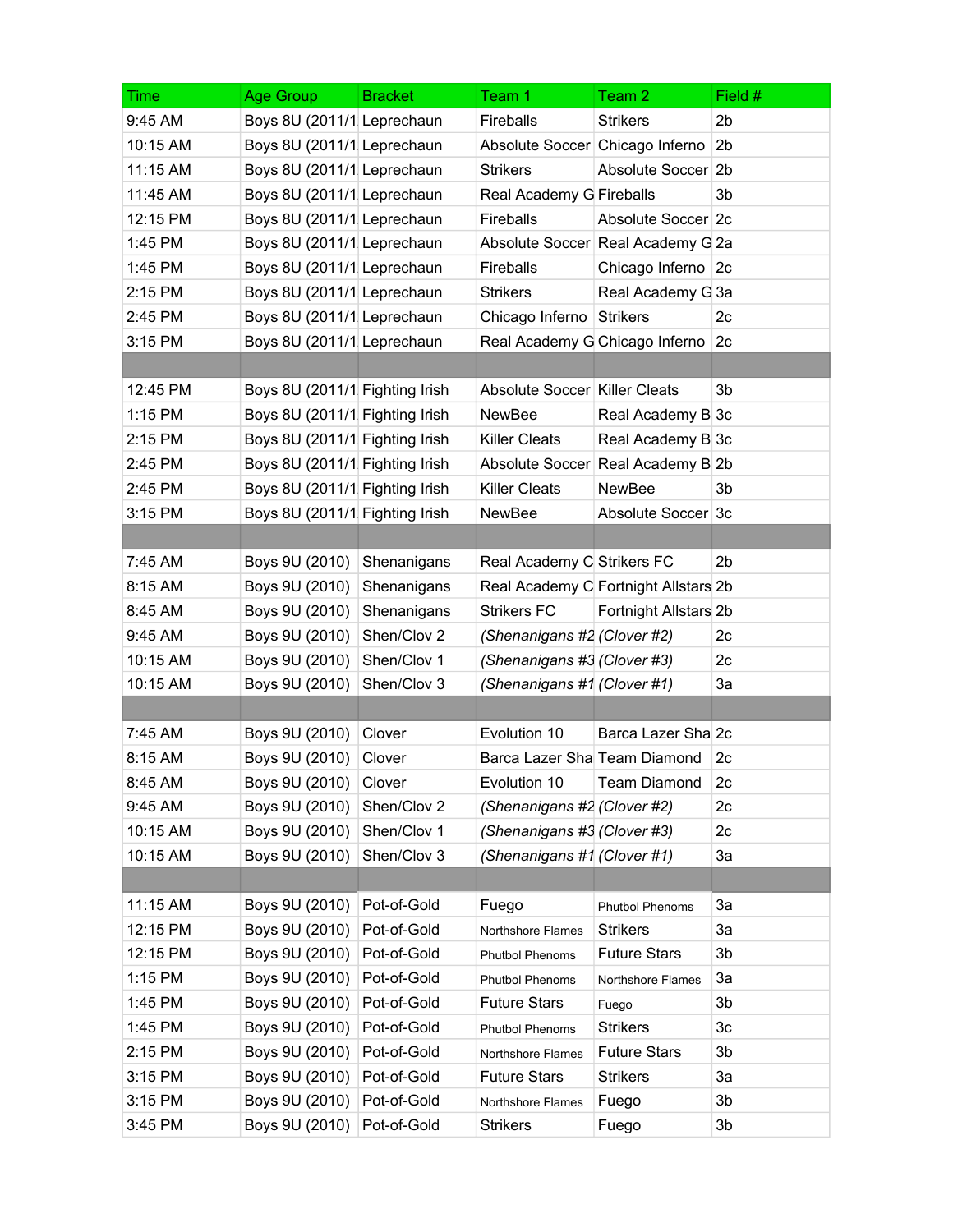| Time     | Age Group                      | <b>Bracket</b> | Team 1                          | Team 2                               | Field #        |
|----------|--------------------------------|----------------|---------------------------------|--------------------------------------|----------------|
| 9:45 AM  | Boys 8U (2011/1 Leprechaun     |                | Fireballs                       | <b>Strikers</b>                      | 2 <sub>b</sub> |
| 10:15 AM | Boys 8U (2011/1 Leprechaun     |                | Absolute Soccer Chicago Inferno |                                      | 2 <sub>b</sub> |
| 11:15 AM | Boys 8U (2011/1 Leprechaun     |                | <b>Strikers</b>                 | Absolute Soccer 2b                   |                |
| 11:45 AM | Boys 8U (2011/1 Leprechaun     |                | Real Academy G Fireballs        |                                      | 3b             |
| 12:15 PM | Boys 8U (2011/1 Leprechaun     |                | <b>Fireballs</b>                | Absolute Soccer 2c                   |                |
| 1:45 PM  | Boys 8U (2011/1 Leprechaun     |                |                                 | Absolute Soccer Real Academy G 2a    |                |
| 1:45 PM  | Boys 8U (2011/1 Leprechaun     |                | Fireballs                       | Chicago Inferno 2c                   |                |
| 2:15 PM  | Boys 8U (2011/1 Leprechaun     |                | <b>Strikers</b>                 | Real Academy G 3a                    |                |
| 2:45 PM  | Boys 8U (2011/1 Leprechaun     |                | Chicago Inferno Strikers        |                                      | 2c             |
| 3:15 PM  | Boys 8U (2011/1 Leprechaun     |                | Real Academy G Chicago Inferno  |                                      | 2c             |
|          |                                |                |                                 |                                      |                |
| 12:45 PM | Boys 8U (2011/1 Fighting Irish |                | Absolute Soccer Killer Cleats   |                                      | 3b             |
| 1:15 PM  | Boys 8U (2011/1 Fighting Irish |                | <b>NewBee</b>                   | Real Academy B 3c                    |                |
| 2:15 PM  | Boys 8U (2011/1 Fighting Irish |                | <b>Killer Cleats</b>            | Real Academy B 3c                    |                |
| 2:45 PM  | Boys 8U (2011/1 Fighting Irish |                |                                 | Absolute Soccer Real Academy B 2b    |                |
| 2:45 PM  | Boys 8U (2011/1 Fighting Irish |                | <b>Killer Cleats</b>            | <b>NewBee</b>                        | 3b             |
| 3:15 PM  | Boys 8U (2011/1 Fighting Irish |                | <b>NewBee</b>                   | Absolute Soccer 3c                   |                |
|          |                                |                |                                 |                                      |                |
| 7:45 AM  | Boys 9U (2010)                 | Shenanigans    | Real Academy C Strikers FC      |                                      | 2b             |
| 8:15 AM  | Boys 9U (2010)                 | Shenanigans    |                                 | Real Academy C Fortnight Allstars 2b |                |
| 8:45 AM  | Boys 9U (2010)                 | Shenanigans    | <b>Strikers FC</b>              | Fortnight Allstars 2b                |                |
| 9:45 AM  | Boys 9U (2010)                 | Shen/Clov 2    | (Shenanigans #2 (Clover #2)     |                                      | 2c             |
| 10:15 AM | Boys 9U (2010)                 | Shen/Clov 1    | (Shenanigans #3 (Clover #3)     |                                      | 2c             |
| 10:15 AM | Boys 9U (2010)                 | Shen/Clov 3    | (Shenanigans #1 (Clover #1)     |                                      | За             |
|          |                                |                |                                 |                                      |                |
| 7:45 AM  | Boys 9U (2010) Clover          |                | Evolution 10                    | Barca Lazer Sha 2c                   |                |
| 8:15 AM  | Boys 9U (2010)                 | Clover         | Barca Lazer Sha Team Diamond    |                                      | 2c             |
| 8:45 AM  | Boys 9U (2010)                 | Clover         | Evolution 10                    | Team Diamond                         | 2c             |
| 9:45 AM  | Boys 9U (2010)                 | Shen/Clov 2    | (Shenanigans #2 (Clover #2)     |                                      | 2c             |
| 10:15 AM | Boys 9U (2010)                 | Shen/Clov 1    | (Shenanigans #3 (Clover #3)     |                                      | 2c             |
| 10:15 AM | Boys 9U (2010)                 | Shen/Clov 3    | (Shenanigans #1 (Clover #1)     |                                      | За             |
|          |                                |                |                                 |                                      |                |
| 11:15 AM | Boys 9U (2010)                 | Pot-of-Gold    | Fuego                           | <b>Phutbol Phenoms</b>               | За             |
| 12:15 PM | Boys 9U (2010)                 | Pot-of-Gold    | Northshore Flames               | <b>Strikers</b>                      | За             |
| 12:15 PM | Boys 9U (2010)                 | Pot-of-Gold    | <b>Phutbol Phenoms</b>          | <b>Future Stars</b>                  | 3b             |
| 1:15 PM  | Boys 9U (2010)                 | Pot-of-Gold    | <b>Phutbol Phenoms</b>          | Northshore Flames                    | За             |
| 1:45 PM  | Boys 9U (2010)                 | Pot-of-Gold    | <b>Future Stars</b>             | Fuego                                | 3b             |
| 1:45 PM  | Boys 9U (2010)                 | Pot-of-Gold    | Phutbol Phenoms                 | <b>Strikers</b>                      | 3c             |
| 2:15 PM  | Boys 9U (2010)                 | Pot-of-Gold    | Northshore Flames               | <b>Future Stars</b>                  | 3b             |
| 3:15 PM  | Boys 9U (2010)                 | Pot-of-Gold    | <b>Future Stars</b>             | <b>Strikers</b>                      | За             |
| 3:15 PM  | Boys 9U (2010)                 | Pot-of-Gold    | Northshore Flames               | Fuego                                | 3b             |
| 3:45 PM  | Boys 9U (2010)                 | Pot-of-Gold    | <b>Strikers</b>                 | Fuego                                | 3b             |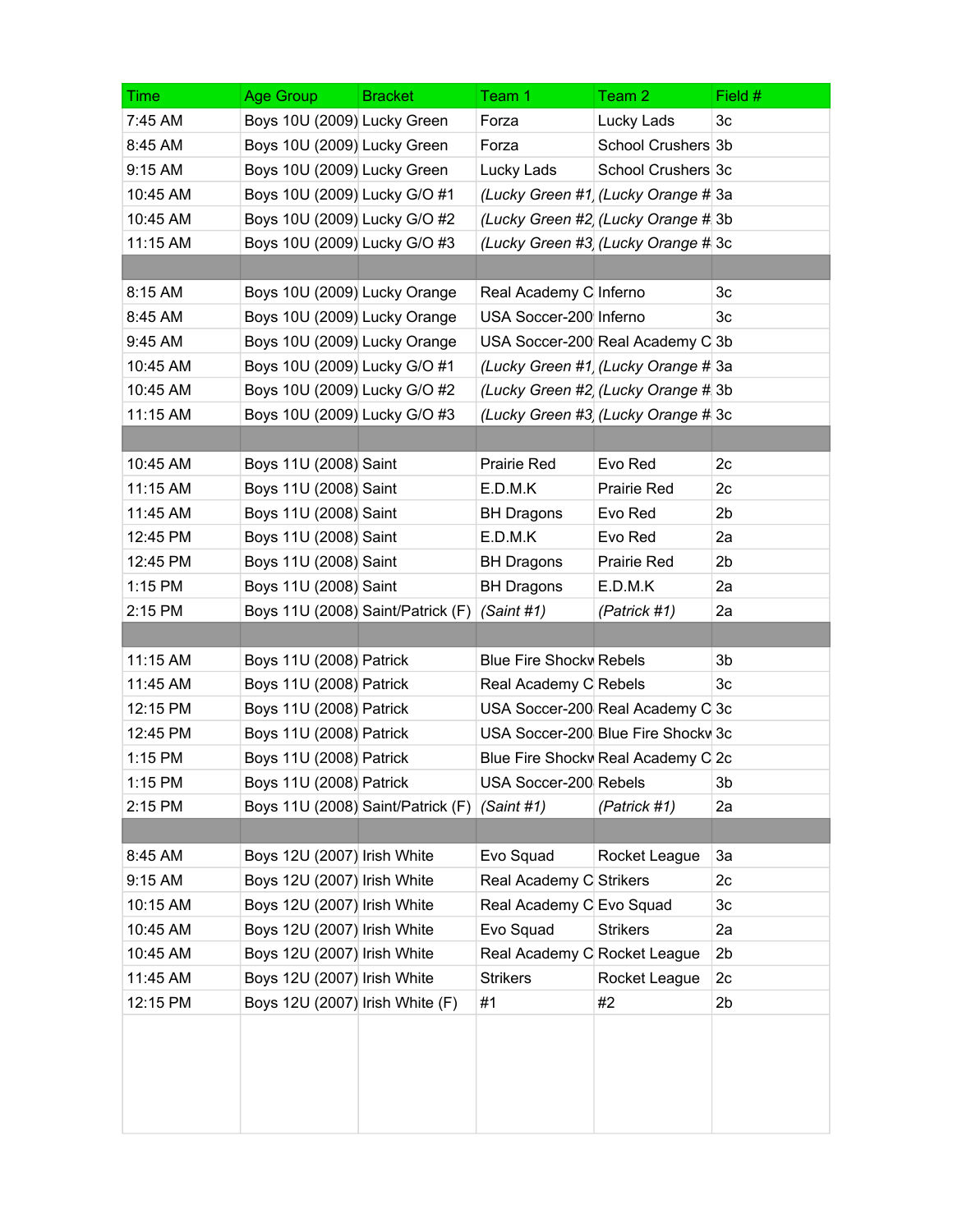| Time     | Age Group                       | <b>Bracket</b>                    | Team 1                         | Team 2                              | Field #        |
|----------|---------------------------------|-----------------------------------|--------------------------------|-------------------------------------|----------------|
| 7:45 AM  | Boys 10U (2009) Lucky Green     |                                   | Forza                          | Lucky Lads                          | 3c             |
| 8:45 AM  | Boys 10U (2009) Lucky Green     |                                   | Forza                          | School Crushers 3b                  |                |
| 9:15 AM  | Boys 10U (2009) Lucky Green     |                                   | Lucky Lads                     | School Crushers 3c                  |                |
| 10:45 AM | Boys 10U (2009) Lucky G/O #1    |                                   |                                | (Lucky Green #1) (Lucky Orange # 3a |                |
| 10:45 AM | Boys 10U (2009) Lucky G/O #2    |                                   |                                | (Lucky Green #2 (Lucky Orange # 3b  |                |
| 11:15 AM | Boys 10U (2009) Lucky G/O #3    |                                   |                                | (Lucky Green #3 (Lucky Orange # 3c  |                |
|          |                                 |                                   |                                |                                     |                |
| 8:15 AM  | Boys 10U (2009) Lucky Orange    |                                   | Real Academy C Inferno         |                                     | 3c             |
| 8:45 AM  | Boys 10U (2009) Lucky Orange    |                                   | USA Soccer-200 Inferno         |                                     | 3c             |
| 9:45 AM  | Boys 10U (2009) Lucky Orange    |                                   |                                | USA Soccer-200 Real Academy C 3b    |                |
| 10:45 AM | Boys 10U (2009) Lucky G/O #1    |                                   |                                | (Lucky Green #1) (Lucky Orange # 3a |                |
| 10:45 AM | Boys 10U (2009) Lucky G/O #2    |                                   |                                | (Lucky Green #2 (Lucky Orange # 3b  |                |
| 11:15 AM | Boys 10U (2009) Lucky G/O #3    |                                   |                                | (Lucky Green #3 (Lucky Orange # 3c  |                |
|          |                                 |                                   |                                |                                     |                |
| 10:45 AM | Boys 11U (2008) Saint           |                                   | Prairie Red                    | Evo Red                             | 2c             |
| 11:15 AM | Boys 11U (2008) Saint           |                                   | E.D.M.K                        | Prairie Red                         | 2c             |
| 11:45 AM | Boys 11U (2008) Saint           |                                   | <b>BH Dragons</b>              | Evo Red                             | 2 <sub>b</sub> |
| 12:45 PM | Boys 11U (2008) Saint           |                                   | E.D.M.K                        | Evo Red                             | 2a             |
| 12:45 PM | Boys 11U (2008) Saint           |                                   | <b>BH Dragons</b>              | Prairie Red                         | 2 <sub>b</sub> |
| 1:15 PM  | Boys 11U (2008) Saint           |                                   | <b>BH Dragons</b>              | E.D.M.K                             | 2a             |
| 2:15 PM  |                                 | Boys 11U (2008) Saint/Patrick (F) | (Saint #1)                     | (Patrick #1)                        | 2a             |
|          |                                 |                                   |                                |                                     |                |
| 11:15 AM | Boys 11U (2008) Patrick         |                                   | <b>Blue Fire Shocky Rebels</b> |                                     | 3b             |
| 11:45 AM | Boys 11U (2008) Patrick         |                                   | Real Academy C Rebels          |                                     | 3c             |
| 12:15 PM | Boys 11U (2008) Patrick         |                                   |                                | USA Soccer-200 Real Academy C 3c    |                |
| 12:45 PM | Boys 11U (2008) Patrick         |                                   |                                | USA Soccer-200 Blue Fire Shocky 3c  |                |
| 1:15 PM  | Boys 11U (2008) Patrick         |                                   |                                | Blue Fire Shocky Real Academy C 2c  |                |
| 1:15 PM  | Boys 11U (2008) Patrick         |                                   | USA Soccer-200 Rebels          |                                     | 3 <sub>b</sub> |
| 2:15 PM  |                                 | Boys 11U (2008) Saint/Patrick (F) | (Saint #1)                     | (Patrick #1)                        | 2a             |
|          |                                 |                                   |                                |                                     |                |
| 8:45 AM  | Boys 12U (2007) Irish White     |                                   | Evo Squad                      | Rocket League                       | 3a             |
| 9:15 AM  | Boys 12U (2007) Irish White     |                                   | Real Academy C Strikers        |                                     | 2c             |
| 10:15 AM | Boys 12U (2007) Irish White     |                                   | Real Academy C Evo Squad       |                                     | 3c             |
| 10:45 AM | Boys 12U (2007) Irish White     |                                   | Evo Squad                      | <b>Strikers</b>                     | 2a             |
| 10:45 AM | Boys 12U (2007) Irish White     |                                   | Real Academy C Rocket League   |                                     | 2 <sub>b</sub> |
| 11:45 AM | Boys 12U (2007) Irish White     |                                   | <b>Strikers</b>                | Rocket League                       | 2c             |
| 12:15 PM | Boys 12U (2007) Irish White (F) |                                   | #1                             | #2                                  | 2b             |
|          |                                 |                                   |                                |                                     |                |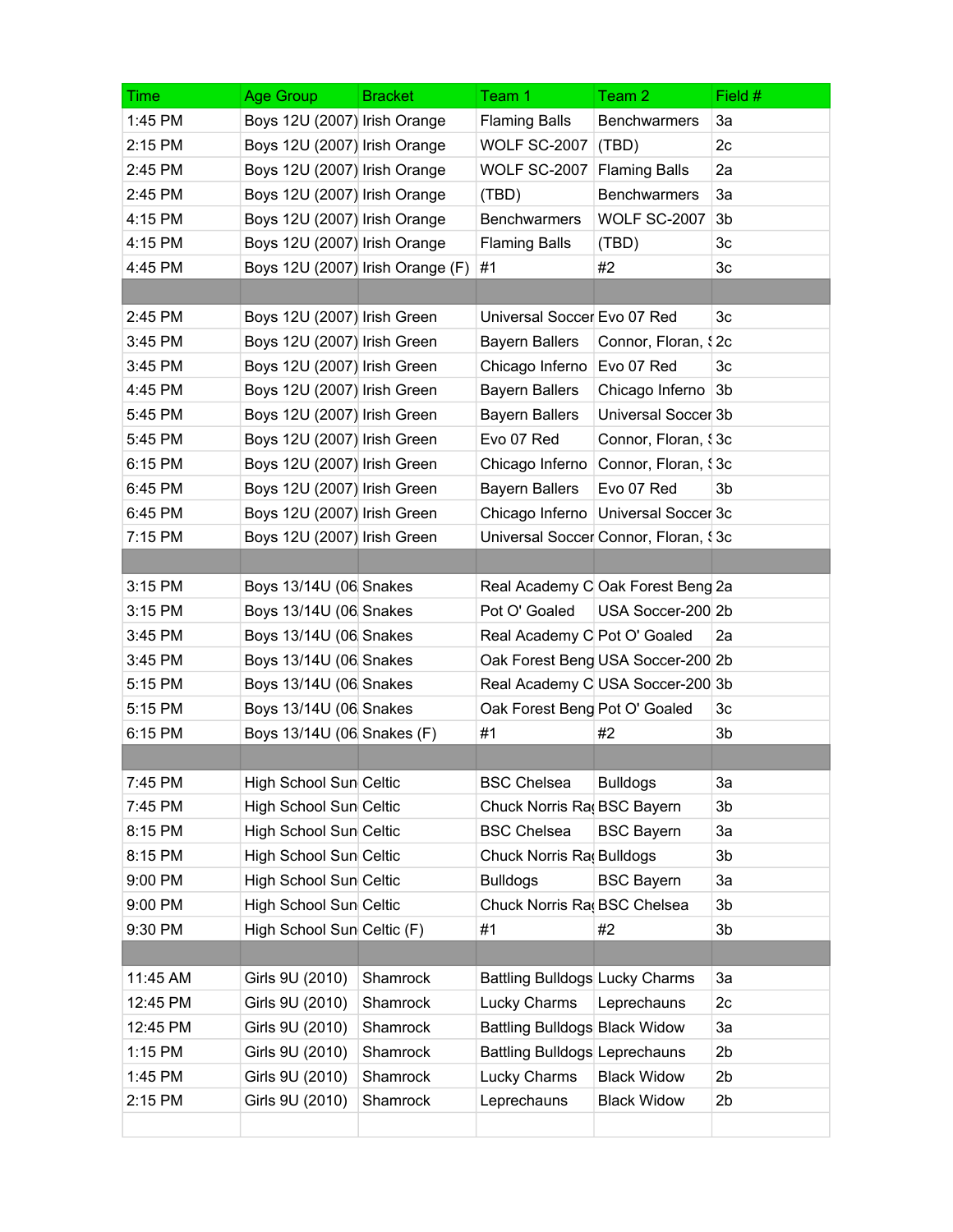| <b>Time</b> | Age Group                        | <b>Bracket</b> | Team 1                         | Team 2                                | Field #        |
|-------------|----------------------------------|----------------|--------------------------------|---------------------------------------|----------------|
| 1:45 PM     | Boys 12U (2007) Irish Orange     |                | <b>Flaming Balls</b>           | <b>Benchwarmers</b>                   | 3a             |
| 2:15 PM     | Boys 12U (2007) Irish Orange     |                | <b>WOLF SC-2007</b>            | (TBD)                                 | 2c             |
| 2:45 PM     | Boys 12U (2007) Irish Orange     |                | <b>WOLF SC-2007</b>            | <b>Flaming Balls</b>                  | 2a             |
| 2:45 PM     | Boys 12U (2007) Irish Orange     |                | (TBD)                          | <b>Benchwarmers</b>                   | 3a             |
| 4:15 PM     | Boys 12U (2007) Irish Orange     |                | Benchwarmers                   | <b>WOLF SC-2007</b>                   | 3b             |
| 4:15 PM     | Boys 12U (2007) Irish Orange     |                | <b>Flaming Balls</b>           | (TBD)                                 | 3c             |
| 4:45 PM     | Boys 12U (2007) Irish Orange (F) |                | #1                             | #2                                    | 3c             |
|             |                                  |                |                                |                                       |                |
| 2:45 PM     | Boys 12U (2007) Irish Green      |                | Universal Soccer Evo 07 Red    |                                       | 3c             |
| 3:45 PM     | Boys 12U (2007) Irish Green      |                | <b>Bayern Ballers</b>          | Connor, Floran, \$2c                  |                |
| 3:45 PM     | Boys 12U (2007) Irish Green      |                | Chicago Inferno                | Evo 07 Red                            | 3c             |
| 4:45 PM     | Boys 12U (2007) Irish Green      |                | <b>Bayern Ballers</b>          | Chicago Inferno 3b                    |                |
| 5:45 PM     | Boys 12U (2007) Irish Green      |                | <b>Bayern Ballers</b>          | Universal Soccer 3b                   |                |
| 5:45 PM     | Boys 12U (2007) Irish Green      |                | Evo 07 Red                     | Connor, Floran, \$3c                  |                |
| 6:15 PM     | Boys 12U (2007) Irish Green      |                | Chicago Inferno                | Connor, Floran, \$3c                  |                |
| 6:45 PM     | Boys 12U (2007) Irish Green      |                | <b>Bayern Ballers</b>          | Evo 07 Red                            | 3b             |
| 6:45 PM     | Boys 12U (2007) Irish Green      |                |                                | Chicago Inferno   Universal Soccer 3c |                |
| 7:15 PM     | Boys 12U (2007) Irish Green      |                |                                | Universal Soccer Connor, Floran, \$3c |                |
|             |                                  |                |                                |                                       |                |
| 3:15 PM     | Boys 13/14U (06 Snakes           |                |                                | Real Academy C Oak Forest Beng 2a     |                |
| 3:15 PM     | Boys 13/14U (06 Snakes           |                | Pot O' Goaled                  | USA Soccer-200 2b                     |                |
| 3:45 PM     | Boys 13/14U (06 Snakes           |                | Real Academy C Pot O' Goaled   |                                       | 2a             |
| 3:45 PM     | Boys 13/14U (06 Snakes           |                |                                | Oak Forest Beng USA Soccer-200 2b     |                |
| 5:15 PM     | Boys 13/14U (06 Snakes           |                |                                | Real Academy C USA Soccer-200 3b      |                |
| 5:15 PM     | Boys 13/14U (06 Snakes           |                | Oak Forest Beng Pot O' Goaled  |                                       | 3c             |
| 6:15 PM     | Boys 13/14U (06 Snakes (F)       |                | #1                             | #2                                    | 3b             |
|             |                                  |                |                                |                                       |                |
| 7:45 PM     | High School Sun Celtic           |                | <b>BSC Chelsea</b>             | <b>Bulldogs</b>                       | 3a             |
| 7:45 PM     | High School Sun Celtic           |                | Chuck Norris Ra BSC Bayern     |                                       | 3b             |
| 8:15 PM     | High School Sun Celtic           |                | <b>BSC Chelsea</b>             | <b>BSC Bayern</b>                     | 3a             |
| 8:15 PM     | High School Sun Celtic           |                | Chuck Norris Ra Bulldogs       |                                       | 3b             |
| 9:00 PM     | High School Sun Celtic           |                | <b>Bulldogs</b>                | <b>BSC Bayern</b>                     | 3a             |
| 9:00 PM     | High School Sun Celtic           |                | Chuck Norris Ra BSC Chelsea    |                                       | 3b             |
| 9:30 PM     | High School Sun Celtic (F)       |                | #1                             | #2                                    | 3b             |
|             |                                  |                |                                |                                       |                |
| 11:45 AM    | Girls 9U (2010)                  | Shamrock       | Battling Bulldogs Lucky Charms |                                       | 3a             |
| 12:45 PM    | Girls 9U (2010)                  | Shamrock       | Lucky Charms                   | Leprechauns                           | 2c             |
| 12:45 PM    | Girls 9U (2010)                  | Shamrock       | Battling Bulldogs Black Widow  |                                       | 3a             |
| 1:15 PM     | Girls 9U (2010)                  | Shamrock       | Battling Bulldogs Leprechauns  |                                       | 2 <sub>b</sub> |
| 1:45 PM     | Girls 9U (2010)                  | Shamrock       | Lucky Charms                   | <b>Black Widow</b>                    | 2 <sub>b</sub> |
| 2:15 PM     | Girls 9U (2010)                  | Shamrock       | Leprechauns                    | <b>Black Widow</b>                    | 2 <sub>b</sub> |
|             |                                  |                |                                |                                       |                |